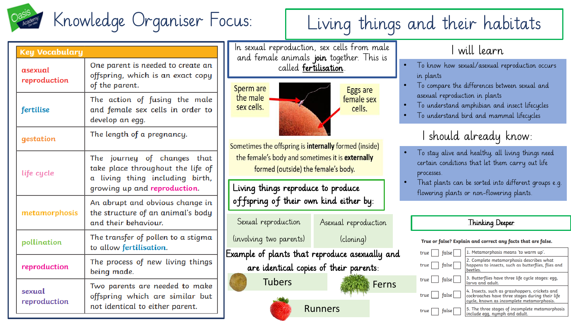

| <b>Key Vocabulary</b>   |                                                                                                                                     |
|-------------------------|-------------------------------------------------------------------------------------------------------------------------------------|
| asexual<br>reproduction | One parent is needed to create an<br>offspring, which is an exact copy<br>of the parent.                                            |
| fertilise               | The action of fusing the male<br>and female sex cells in order to<br>develop an egg.                                                |
| gestation               | The length of a pregnancy.                                                                                                          |
| life cycle              | The journey of changes that<br>take place throughout the life of<br>a living thing including birth,<br>growing up and reproduction. |
| metamorphosis           | An abrupt and obvious change in<br>the structure of an animal's body<br>and their behaviour.                                        |
| pollination             | The transfer of pollen to a stigma<br>to allow fertilisation.                                                                       |
| reproduction            | The process of new living things<br>being made.                                                                                     |
| sexual<br>reproduction  | Two parents are needed to make<br>offspring which are similar but<br>not identical to either parent.                                |

In sexual reproduction, sex cells from male and female animals join together. This is called fertilisation.



Sometimes the offspring is internally formed (inside) the female's body and sometimes it is externally formed (outside) the female's body.

Living things reproduce to produce offspring of their own kind either by:

Sexual reproduction

Asexual reproduction

(involving two parents)

Ferns

(cloning)

Example of plants that reproduce asexually and are identical copies of their parents:

Tubers



### will learn

- To know how sexual/asexual reproduction occurs in plants
- To compare the differences between sexual and asexual reproduction in plants
- To understand amphibian and insect lifecycles
- To understand bird and mammal lifecycles

### I should already know:

- To stay alive and healthy, all living things need certain conditions that let them carry out life processes.
- That plants can be sorted into different groups e.g. flowering plants or non-flowering plants.

### Thinking Deeper

#### True or false? Explain and correct any facts that are false.

| $ $ false $ $<br>true    | 1. Metamorphosis means 'to warm up'.                                                                                                           |
|--------------------------|------------------------------------------------------------------------------------------------------------------------------------------------|
| $true$   $false$         | 2. Complete metamorphosis describes what<br>happens to insects, such as butterflies, flies and<br>beetles.                                     |
| $true \mid \text{false}$ | 3. Butterflies have three life cycle stages: egg,<br>larva and adult.                                                                          |
| $true \mid \text{false}$ | 4. Insects, such as grasshoppers, crickets and<br>cockroaches have three stages during their life<br>cycle, known as incomplete metamorphosis. |
| true<br>false            | 5. The three stages of incomplete metamorphosis<br>include egg, nymph and adult.                                                               |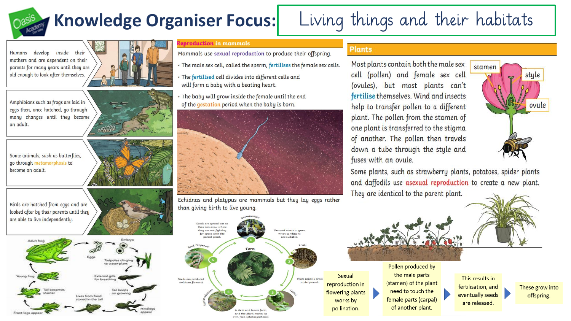# **Knowledge Organiser Focus:**

## Living things and their habitats

develop inside their **Humans** mothers and are dependent on their parents for many years until they are old enough to look after themselves.



Some animals, such as butterflies, go through metamorphosis to become an adult.



Birds are hatched from eggs and are looked after by their parents until they are able to live independently.



#### eproduction in mammals

Mammals use sexual reproduction to produce their offspring.

- . The male sex cell, called the sperm, fertilises the female sex cells.
- The fertilised cell divides into different cells and will form a baby with a beating heart.
- . The baby will grow inside the female until the end of the gestation period when the baby is born.



Echidnas and platypus are mammals but they lay eggs rather than giving birth to live young.

#### **Plants**

Most plants contain both the male sex cell (pollen) and female sex cell (ovules), but most plants can't fertilise themselves. Wind and insects help to transfer pollen to a different plant. The pollen from the stamen of one plant is transferred to the stigma of another. The pollen then travels down a tube through the style and fuses with an ovule.



Some plants, such as strawberry plants, potatoes, spider plants and daffodils use asexual reproduction to create a new plant. They are identical to the parent plant.



the male parts This results in (stamen) of the plant fertilisation, and need to touch the eventually seeds female parts (carpal) are released. of another plant.

These grow into offspring.